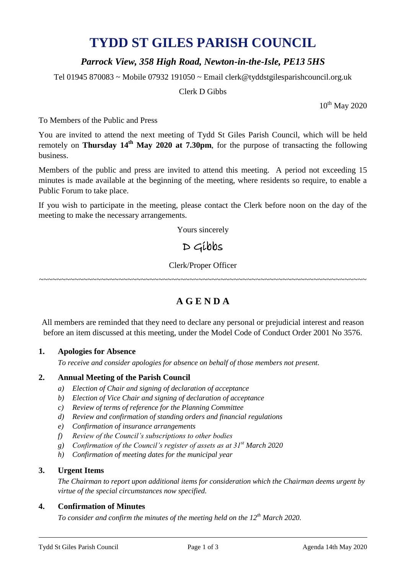# **TYDD ST GILES PARISH COUNCIL**

### *Parrock View, 358 High Road, Newton-in-the-Isle, PE13 5HS*

Tel 01945 870083 ~ Mobile 07932 191050 ~ Email clerk@tyddstgilesparishcouncil.org.uk

Clerk D Gibbs

10<sup>th</sup> May 2020

To Members of the Public and Press

You are invited to attend the next meeting of Tydd St Giles Parish Council, which will be held remotely on **Thursday 14th May 2020 at 7.30pm**, for the purpose of transacting the following business.

Members of the public and press are invited to attend this meeting. A period not exceeding 15 minutes is made available at the beginning of the meeting, where residents so require, to enable a Public Forum to take place.

If you wish to participate in the meeting, please contact the Clerk before noon on the day of the meeting to make the necessary arrangements.

Yours sincerely

## D Gibbs

Clerk/Proper Officer

~~~~~~~~~~~~~~~~~~~~~~~~~~~~~~~~~~~~~~~~~~~~~~~~~~~~~~~~~~~~~~~~~~~~~~~~~~

## **A G E N D A**

All members are reminded that they need to declare any personal or prejudicial interest and reason before an item discussed at this meeting, under the Model Code of Conduct Order 2001 No 3576.

#### **1. Apologies for Absence**

*To receive and consider apologies for absence on behalf of those members not present.*

#### **2. Annual Meeting of the Parish Council**

- *a) Election of Chair and signing of declaration of acceptance*
- *b) Election of Vice Chair and signing of declaration of acceptance*
- *c) Review of terms of reference for the Planning Committee*
- *d) Review and confirmation of standing orders and financial regulations*
- *e) Confirmation of insurance arrangements*
- *f) Review of the Council's subscriptions to other bodies*
- *g) Confirmation of the Council's register of assets as at 31st March 2020*
- *h) Confirmation of meeting dates for the municipal year*

#### **3. Urgent Items**

*The Chairman to report upon additional items for consideration which the Chairman deems urgent by virtue of the special circumstances now specified.*

#### **4. Confirmation of Minutes**

*To consider and confirm the minutes of the meeting held on the 12 th March 2020.*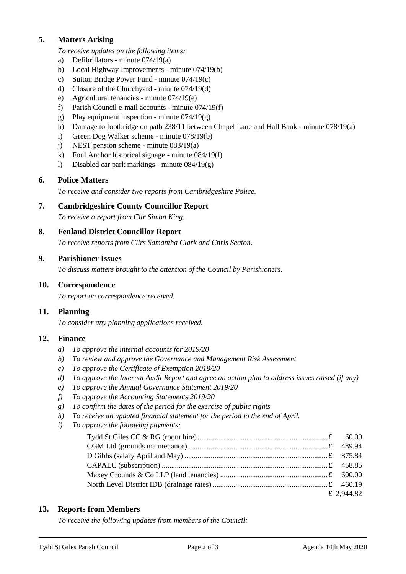#### **5. Matters Arising**

*To receive updates on the following items:*

- a) Defibrillators minute 074/19(a)
- b) Local Highway Improvements minute 074/19(b)
- c) Sutton Bridge Power Fund minute 074/19(c)
- d) Closure of the Churchyard minute 074/19(d)
- e) Agricultural tenancies minute 074/19(e)
- f) Parish Council e-mail accounts minute 074/19(f)
- g) Play equipment inspection minute  $074/19(g)$
- h) Damage to footbridge on path 238/11 between Chapel Lane and Hall Bank minute 078/19(a)
- i) Green Dog Walker scheme minute 078/19(b)
- j) NEST pension scheme minute 083/19(a)
- k) Foul Anchor historical signage minute 084/19(f)
- l) Disabled car park markings minute 084/19(g)

#### **6. Police Matters**

*To receive and consider two reports from Cambridgeshire Police.*

#### **7. Cambridgeshire County Councillor Report**

*To receive a report from Cllr Simon King.*

#### **8. Fenland District Councillor Report**

*To receive reports from Cllrs Samantha Clark and Chris Seaton.*

#### **9. Parishioner Issues**

*To discuss matters brought to the attention of the Council by Parishioners.*

#### **10. Correspondence**

*To report on correspondence received.*

#### **11. Planning**

*To consider any planning applications received.*

#### **12. Finance**

- *a) To approve the internal accounts for 2019/20*
- *b) To review and approve the Governance and Management Risk Assessment*
- *c) To approve the Certificate of Exemption 2019/20*
- *d) To approve the Internal Audit Report and agree an action plan to address issues raised (if any)*
- *e) To approve the Annual Governance Statement 2019/20*
- *f) To approve the Accounting Statements 2019/20*
- *g) To confirm the dates of the period for the exercise of public rights*
- *h) To receive an updated financial statement for the period to the end of April.*
- *i) To approve the following payments:*

| £ 2,944.82 |
|------------|

#### **13. Reports from Members**

*To receive the following updates from members of the Council:*